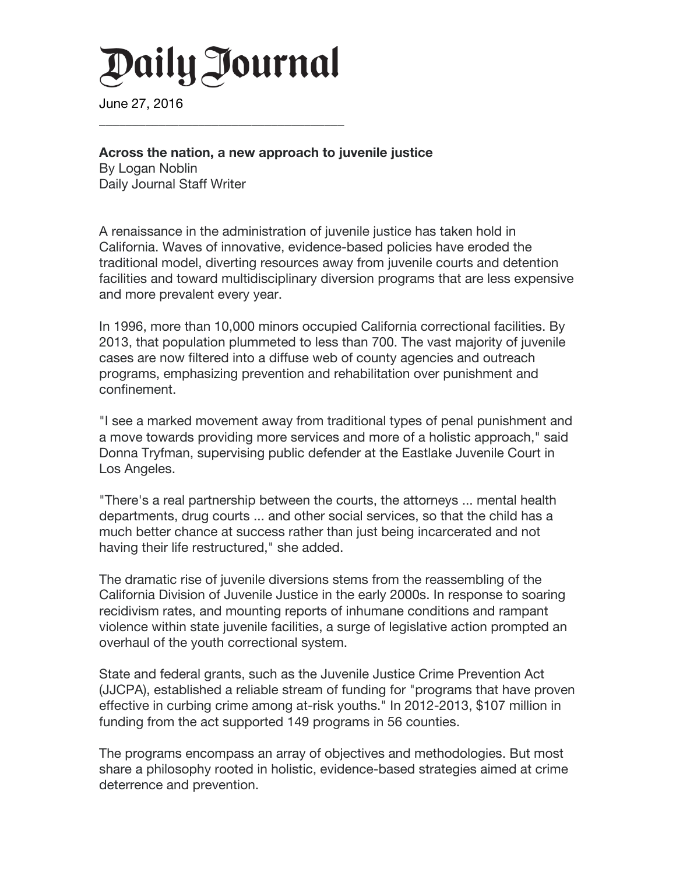## Daily Journal

**\_\_\_\_\_\_\_\_\_\_\_\_\_\_\_\_\_\_\_\_\_\_\_\_\_\_\_\_\_\_\_\_\_\_\_\_\_**

June 27, 2016

## **Across the nation, a new approach to juvenile justice**

By Logan Noblin Daily Journal Staff Writer

A renaissance in the administration of juvenile justice has taken hold in California. Waves of innovative, evidence-based policies have eroded the traditional model, diverting resources away from juvenile courts and detention facilities and toward multidisciplinary diversion programs that are less expensive and more prevalent every year.

In 1996, more than 10,000 minors occupied California correctional facilities. By 2013, that population plummeted to less than 700. The vast majority of juvenile cases are now filtered into a diffuse web of county agencies and outreach programs, emphasizing prevention and rehabilitation over punishment and confinement.

"I see a marked movement away from traditional types of penal punishment and a move towards providing more services and more of a holistic approach," said Donna Tryfman, supervising public defender at the Eastlake Juvenile Court in Los Angeles.

"There's a real partnership between the courts, the attorneys ... mental health departments, drug courts ... and other social services, so that the child has a much better chance at success rather than just being incarcerated and not having their life restructured," she added.

The dramatic rise of juvenile diversions stems from the reassembling of the California Division of Juvenile Justice in the early 2000s. In response to soaring recidivism rates, and mounting reports of inhumane conditions and rampant violence within state juvenile facilities, a surge of legislative action prompted an overhaul of the youth correctional system.

State and federal grants, such as the Juvenile Justice Crime Prevention Act (JJCPA), established a reliable stream of funding for "programs that have proven effective in curbing crime among at-risk youths." In 2012-2013, \$107 million in funding from the act supported 149 programs in 56 counties.

The programs encompass an array of objectives and methodologies. But most share a philosophy rooted in holistic, evidence-based strategies aimed at crime deterrence and prevention.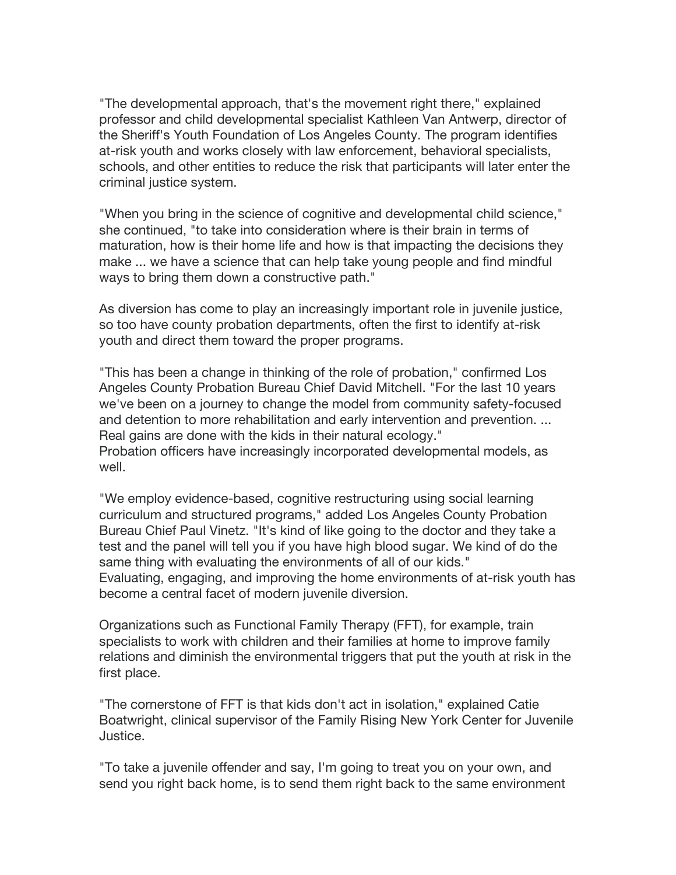"The developmental approach, that's the movement right there," explained professor and child developmental specialist Kathleen Van Antwerp, director of the Sheriff's Youth Foundation of Los Angeles County. The program identifies at-risk youth and works closely with law enforcement, behavioral specialists, schools, and other entities to reduce the risk that participants will later enter the criminal justice system.

"When you bring in the science of cognitive and developmental child science," she continued, "to take into consideration where is their brain in terms of maturation, how is their home life and how is that impacting the decisions they make ... we have a science that can help take young people and find mindful ways to bring them down a constructive path."

As diversion has come to play an increasingly important role in juvenile justice, so too have county probation departments, often the first to identify at-risk youth and direct them toward the proper programs.

"This has been a change in thinking of the role of probation," confirmed Los Angeles County Probation Bureau Chief David Mitchell. "For the last 10 years we've been on a journey to change the model from community safety-focused and detention to more rehabilitation and early intervention and prevention. ... Real gains are done with the kids in their natural ecology." Probation officers have increasingly incorporated developmental models, as well.

"We employ evidence-based, cognitive restructuring using social learning curriculum and structured programs," added Los Angeles County Probation Bureau Chief Paul Vinetz. "It's kind of like going to the doctor and they take a test and the panel will tell you if you have high blood sugar. We kind of do the same thing with evaluating the environments of all of our kids." Evaluating, engaging, and improving the home environments of at-risk youth has become a central facet of modern juvenile diversion.

Organizations such as Functional Family Therapy (FFT), for example, train specialists to work with children and their families at home to improve family relations and diminish the environmental triggers that put the youth at risk in the first place.

"The cornerstone of FFT is that kids don't act in isolation," explained Catie Boatwright, clinical supervisor of the Family Rising New York Center for Juvenile Justice.

"To take a juvenile offender and say, I'm going to treat you on your own, and send you right back home, is to send them right back to the same environment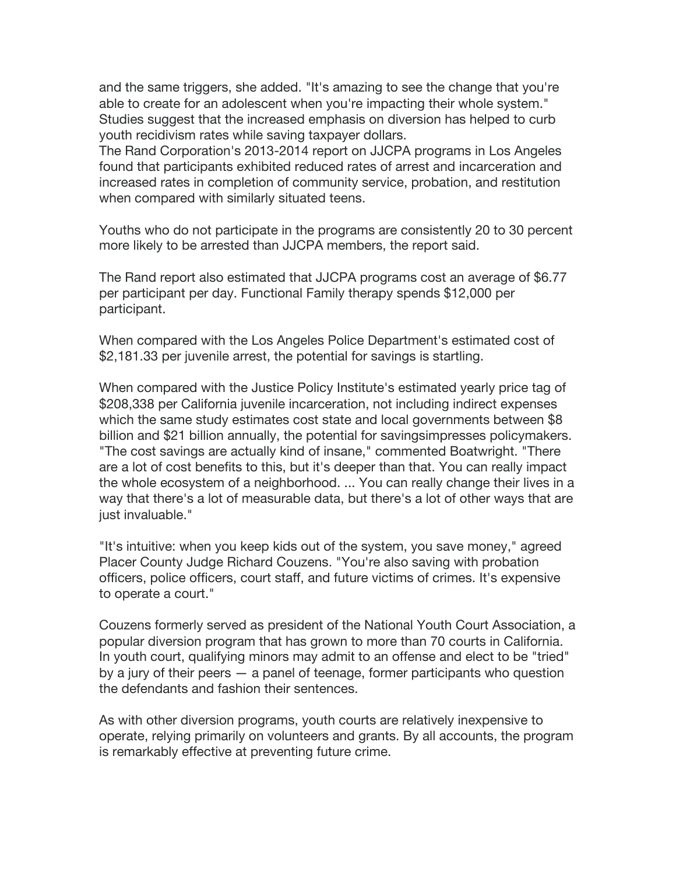and the same triggers, she added. "It's amazing to see the change that you're able to create for an adolescent when you're impacting their whole system." Studies suggest that the increased emphasis on diversion has helped to curb youth recidivism rates while saving taxpayer dollars.

The Rand Corporation's 2013-2014 report on JJCPA programs in Los Angeles found that participants exhibited reduced rates of arrest and incarceration and increased rates in completion of community service, probation, and restitution when compared with similarly situated teens.

Youths who do not participate in the programs are consistently 20 to 30 percent more likely to be arrested than JJCPA members, the report said.

The Rand report also estimated that JJCPA programs cost an average of \$6.77 per participant per day. Functional Family therapy spends \$12,000 per participant.

When compared with the Los Angeles Police Department's estimated cost of \$2,181.33 per juvenile arrest, the potential for savings is startling.

When compared with the Justice Policy Institute's estimated yearly price tag of \$208,338 per California juvenile incarceration, not including indirect expenses which the same study estimates cost state and local governments between \$8 billion and \$21 billion annually, the potential for savingsimpresses policymakers. "The cost savings are actually kind of insane," commented Boatwright. "There are a lot of cost benefits to this, but it's deeper than that. You can really impact the whole ecosystem of a neighborhood. ... You can really change their lives in a way that there's a lot of measurable data, but there's a lot of other ways that are just invaluable."

"It's intuitive: when you keep kids out of the system, you save money," agreed Placer County Judge Richard Couzens. "You're also saving with probation officers, police officers, court staff, and future victims of crimes. It's expensive to operate a court."

Couzens formerly served as president of the National Youth Court Association, a popular diversion program that has grown to more than 70 courts in California. In youth court, qualifying minors may admit to an offense and elect to be "tried" by a jury of their peers — a panel of teenage, former participants who question the defendants and fashion their sentences.

As with other diversion programs, youth courts are relatively inexpensive to operate, relying primarily on volunteers and grants. By all accounts, the program is remarkably effective at preventing future crime.